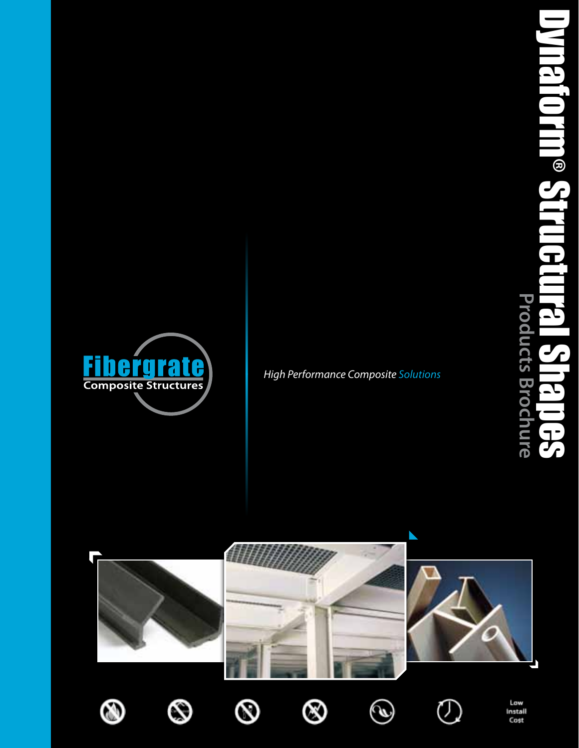



*High Performance Composite Solutions*

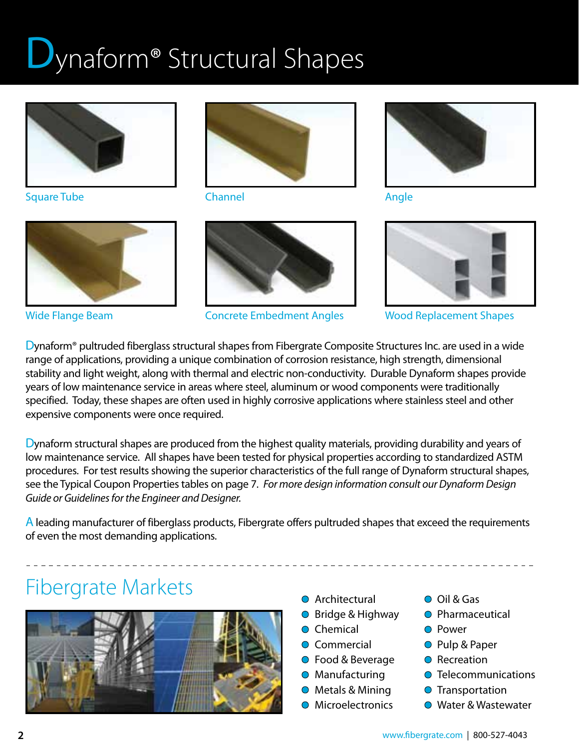# Jynaform<sup>®</sup> Structural Shapes



Square Tube



Wide Flange Beam



Channel



Concrete Embedment Angles



Angle



Wood Replacement Shapes

Dynaform® pultruded fiberglass structural shapes from Fibergrate Composite Structures Inc. are used in a wide range of applications, providing a unique combination of corrosion resistance, high strength, dimensional stability and light weight, along with thermal and electric non-conductivity. Durable Dynaform shapes provide years of low maintenance service in areas where steel, aluminum or wood components were traditionally specified. Today, these shapes are often used in highly corrosive applications where stainless steel and other expensive components were once required.

Dynaform structural shapes are produced from the highest quality materials, providing durability and years of low maintenance service. All shapes have been tested for physical properties according to standardized ASTM procedures. For test results showing the superior characteristics of the full range of Dynaform structural shapes, see the Typical Coupon Properties tables on page 7. *For more design information consult our Dynaform Design Guide or Guidelines for the Engineer and Designer.*

A leading manufacturer of fiberglass products, Fibergrate offers pultruded shapes that exceed the requirements of even the most demanding applications.

# Fibergrate Markets **Canadiates**



- 
- Bridge & Highway
- **O** Chemical
- Commercial
- Food & Beverage
- **O** Manufacturing
- Metals & Mining
- **O** Microelectronics
- Oil & Gas
- **O** Pharmaceutical
- **O** Power
- Pulp & Paper
- **O** Recreation
- **O** Telecommunications
- **O** Transportation
- Water & Wastewater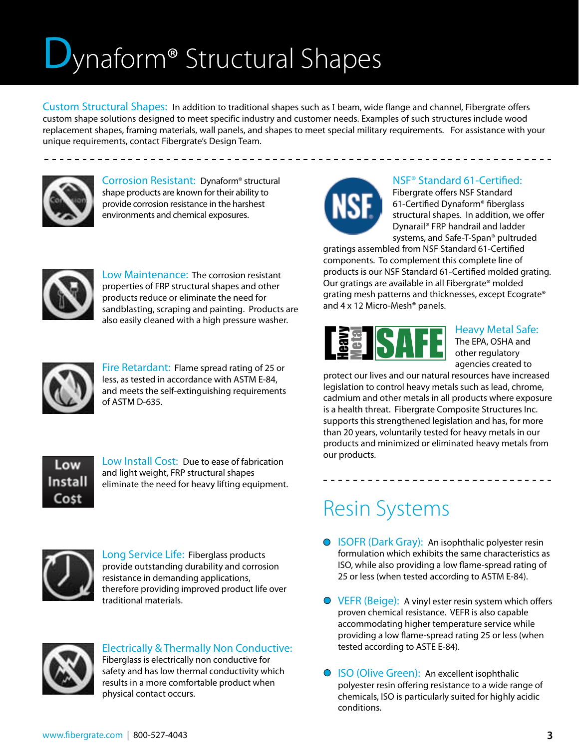# Dynaform® Structural Shapes

Custom Structural Shapes: In addition to traditional shapes such as I beam, wide flange and channel, Fibergrate offers custom shape solutions designed to meet specific industry and customer needs. Examples of such structures include wood replacement shapes, framing materials, wall panels, and shapes to meet special military requirements. For assistance with your unique requirements, contact Fibergrate's Design Team.



Corrosion Resistant: Dynaform® structural shape products are known for their ability to provide corrosion resistance in the harshest environments and chemical exposures.



#### NSF® Standard 61-Certified:

\_\_\_\_\_\_\_\_\_\_\_\_\_\_\_\_\_\_\_\_\_\_\_\_\_\_\_\_\_

Fibergrate offers NSF Standard 61-Certified Dynaform® fiberglass structural shapes. In addition, we offer Dynarail® FRP handrail and ladder systems, and Safe-T-Span® pultruded

gratings assembled from NSF Standard 61-Certified components. To complement this complete line of products is our NSF Standard 61-Certified molded grating. Our gratings are available in all Fibergrate® molded grating mesh patterns and thicknesses, except Ecograte® and 4 x 12 Micro-Mesh® panels.



#### Heavy Metal Safe: The EPA, OSHA and other regulatory agencies created to

protect our lives and our natural resources have increased legislation to control heavy metals such as lead, chrome, cadmium and other metals in all products where exposure is a health threat. Fibergrate Composite Structures Inc. supports this strengthened legislation and has, for more than 20 years, voluntarily tested for heavy metals in our products and minimized or eliminated heavy metals from our products.

## Resin Systems

- **ISOFR (Dark Gray): An isophthalic polyester resin** formulation which exhibits the same characteristics as ISO, while also providing a low flame-spread rating of 25 or less (when tested according to ASTM E-84).
- **O** VEFR (Beige): A vinyl ester resin system which offers proven chemical resistance. VEFR is also capable accommodating higher temperature service while providing a low flame-spread rating 25 or less (when tested according to ASTE E-84).
- ISO (Olive Green): An excellent isophthalic polyester resin offering resistance to a wide range of chemicals, ISO is particularly suited for highly acidic conditions.



Low Maintenance: The corrosion resistant properties of FRP structural shapes and other products reduce or eliminate the need for sandblasting, scraping and painting. Products are also easily cleaned with a high pressure washer.



Fire Retardant: Flame spread rating of 25 or less, as tested in accordance with ASTM E-84, and meets the self-extinguishing requirements of ASTM D-635.



Low Install Cost: Due to ease of fabrication and light weight, FRP structural shapes eliminate the need for heavy lifting equipment.



Long Service Life: Fiberglass products provide outstanding durability and corrosion resistance in demanding applications, therefore providing improved product life over traditional materials.



#### Electrically & Thermally Non Conductive:

Fiberglass is electrically non conductive for safety and has low thermal conductivity which results in a more comfortable product when physical contact occurs.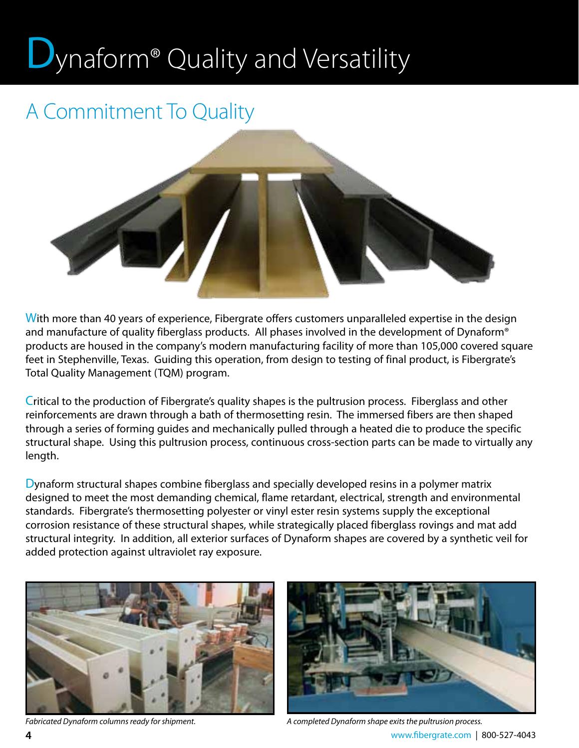# Uynaform® Quality and Versatility

## A Commitment To Quality



With more than 40 years of experience, Fibergrate offers customers unparalleled expertise in the design and manufacture of quality fiberglass products. All phases involved in the development of Dynaform® products are housed in the company's modern manufacturing facility of more than 105,000 covered square feet in Stephenville, Texas. Guiding this operation, from design to testing of final product, is Fibergrate's Total Quality Management (TQM) program.

Critical to the production of Fibergrate's quality shapes is the pultrusion process. Fiberglass and other reinforcements are drawn through a bath of thermosetting resin. The immersed fibers are then shaped through a series of forming guides and mechanically pulled through a heated die to produce the specific structural shape. Using this pultrusion process, continuous cross-section parts can be made to virtually any length.

Dynaform structural shapes combine fiberglass and specially developed resins in a polymer matrix designed to meet the most demanding chemical, flame retardant, electrical, strength and environmental standards. Fibergrate's thermosetting polyester or vinyl ester resin systems supply the exceptional corrosion resistance of these structural shapes, while strategically placed fiberglass rovings and mat add structural integrity. In addition, all exterior surfaces of Dynaform shapes are covered by a synthetic veil for added protection against ultraviolet ray exposure.





*Fabricated Dynaform columns ready for shipment. A completed Dynaform shape exits the pultrusion process.*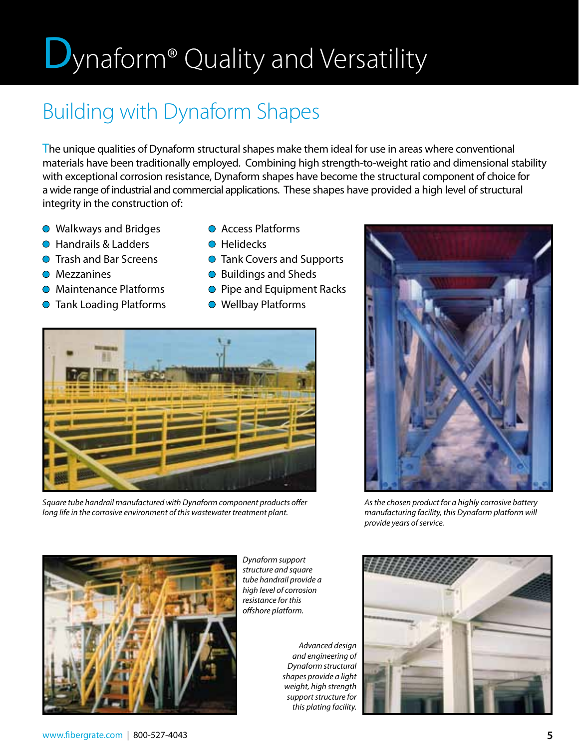# **D**ynaform<sup>®</sup> Quality and Versatility

## Building with Dynaform Shapes

The unique qualities of Dynaform structural shapes make them ideal for use in areas where conventional materials have been traditionally employed. Combining high strength-to-weight ratio and dimensional stability with exceptional corrosion resistance, Dynaform shapes have become the structural component of choice for a wide range of industrial and commercial applications. These shapes have provided a high level of structural integrity in the construction of:

- **Walkways and Bridges**
- **Handrails & Ladders**
- **O** Trash and Bar Screens
- **O** Mezzanines
- Maintenance Platforms
- **O** Tank Loading Platforms
- Access Platforms
- **O** Helidecks
- **O** Tank Covers and Supports
- Buildings and Sheds
- **O** Pipe and Equipment Racks
- Wellbay Platforms



*Square tube handrail manufactured with Dynaform component products offer long life in the corrosive environment of this wastewater treatment plant.*



*As the chosen product for a highly corrosive battery manufacturing facility, this Dynaform platform will provide years of service.*



*Dynaform support structure and square tube handrail provide a high level of corrosion resistance for this offshore platform.*

*Advanced design and engineering of Dynaform structural shapes provide a light weight, high strength support structure for this plating facility.*

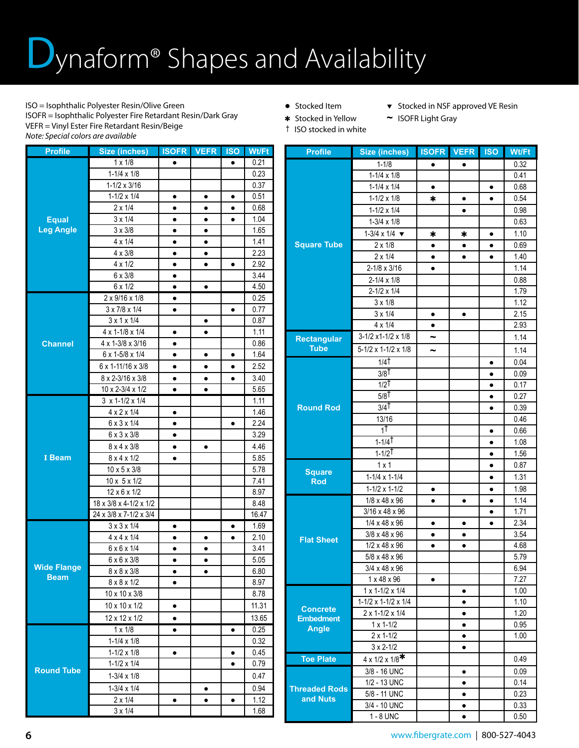# Jynaform<sup>®</sup> Shapes and Availability

ISO = Isophthalic Polyester Resin/Olive Green ISOFR = Isophthalic Polyester Fire Retardant Resin/Dark Gray VEFR = Vinyl Ester Fire Retardant Resin/Beige *Note: Special colors are available*

**Profile Size (inches) ISOFR VEFR ISO Wt/Ft**

- 
- Stocked Item  $\bullet$  Stocked in NSF approved VE Resin
- Stocked in Yellow **~** ISOFR Light Gray
- † ISO stocked in white

**Equal Leg Angle** 1 x 1/8 ● ● 0.21 1-1/4 x 1/8  $\vert$   $\vert$  0.23  $1-1/2 \times 3/16$  | | | 0.37  $1-1/2 \times 1/4$  **e e e e** 0.51 2 x 1/4 ● ● ● 0.68 3 x 1/4 ● ● ● 1.04  $3 \times 3/8$  **e e** 1.65  $4 \times 1/4$   $\bullet$   $\bullet$   $\bullet$   $\bullet$  1.41  $4 \times 3/8$   $\bullet$   $\bullet$   $\bullet$   $\bullet$   $\bullet$   $\bullet$  2.23  $4 \times 1/2$   $\bullet$   $\bullet$   $\bullet$   $\bullet$   $\bullet$  2.92 6 x 3/8 ● 3.44  $6 \times 1/2$   $\bullet$   $\bullet$   $\bullet$   $\bullet$   $\bullet$   $\bullet$   $\bullet$  4.50 **Channel**  $2 \times 9/16 \times 1/8$   $\bullet$  0.25  $3 \times 7/8 \times 1/4$  •  $\bullet$   $\bullet$   $\bullet$  0.77  $3 \times 1 \times 1/4$  | | | 0.87  $4 \times 1 - 1/8 \times 1/4$  • • 1.11  $4 \times 1 - \frac{3}{8} \times \frac{3}{16}$   $\bullet$   $\bullet$  0.86  $6 \times 1 - 5/8 \times 1/4$   $\bullet$   $\bullet$   $\bullet$   $\bullet$  1.64  $6 \times 1$ -11/16  $\times$  3/8  $\bullet$   $\bullet$   $\bullet$   $\bullet$   $\bullet$   $\bullet$  2.52  $8 \times 2 - \frac{3}{16} \times \frac{3}{8}$  e e e 3.40  $10 \times 2 - \frac{3}{4} \times \frac{1}{2}$  • • • 5.65 **I Beam**  $3 \times 1 - 1/2 \times 1/4$  1.11  $4 \times 2 \times 1/4$   $\bullet$   $\bullet$   $\bullet$   $\bullet$  1.46  $6 \times 3 \times 1/4$  •  $\bullet$  1 • 2.24 6 x 3 x 3/8 ● 3.29 8 x 4 x 3/8 ● ● 4.46  $8 \times 4 \times 1/2$   $\bullet$   $\bullet$   $\bullet$   $\bullet$   $\bullet$   $\bullet$  5.85  $10 \times 5 \times 3/8$   $\vert$   $\vert$   $\vert$  5.78 10 x 5 x 1/2 7.41  $12 \times 6 \times 1/2$  | | | 8.97  $18 \times 3/8 \times 4 - 1/2 \times 1/2$  8.48 24 x 3/8 x 7-1/2 x 3/4 16.47 **Wide Flange Beam**  $3 \times 3 \times 1/4$   $\bullet$   $\bullet$   $\bullet$   $\bullet$   $\bullet$   $\bullet$   $\bullet$   $\bullet$   $\bullet$   $\bullet$   $\bullet$   $\bullet$   $\bullet$   $\bullet$   $\bullet$   $\bullet$   $\bullet$   $\bullet$   $\bullet$   $\bullet$   $\bullet$   $\bullet$   $\bullet$   $\bullet$   $\bullet$   $\bullet$   $\bullet$   $\bullet$   $\bullet$   $\$  $4 \times 4 \times 1/4$  **e e e e** 2.10  $6 \times 6 \times 1/4$   $\bullet$   $\bullet$   $\bullet$   $\bullet$   $\bullet$   $\bullet$  3.41  $6 \times 6 \times 3/8$   $\bullet$   $\bullet$   $\bullet$   $\bullet$   $\bullet$   $\bullet$  5.05  $8 \times 8 \times 3/8$  |  $\bullet$  |  $\bullet$  |  $\bullet$  | 6.80  $8 \times 8 \times 1/2$  • | | 8.97  $10 \times 10 \times 3/8$  | | | | 8.78  $10 \times 10 \times 1/2$   $\bullet$   $\bullet$   $\bullet$  11.31  $12 \times 12 \times 1/2$   $\bullet$   $\bullet$  13.65 **Round Tube**  $1 \times 1/8$  **e**  $\phantom{0}$  **e**  $\phantom{0}$  0.25  $1-1/4 \times 1/8$  0.32  $1-1/2 \times 1/8$   $\bullet$   $\bullet$   $\bullet$   $\bullet$   $\bullet$   $\bullet$  0.45  $1-1/2 \times 1/4$  | | | 0.79  $1-3/4 \times 1/8$  | | 0.47  $1-3/4 \times 1/4$   $\bullet$   $\bullet$  0.94 2 x 1/4 ● ● ● 1.12  $3 \times 1/4$  1.68

| <b>Profile</b>                           | Size (inches)                            | <b>ISOFR</b>          | <b>VEFR</b> | <b>ISO</b> | Wt/Ft        |
|------------------------------------------|------------------------------------------|-----------------------|-------------|------------|--------------|
|                                          | $1 - 1/8$                                |                       | ٠           |            | 0.32         |
|                                          | $1-1/4 \times 1/8$                       |                       |             |            | 0.41         |
|                                          | $1-1/4 \times 1/4$                       | $\bullet$             |             | $\bullet$  | 0.68         |
|                                          | $1-1/2 \times 1/8$                       | *                     | $\bullet$   | $\bullet$  | 0.54         |
|                                          | $1-1/2 \times 1/4$                       |                       | $\bullet$   |            | 0.98         |
|                                          | $1-3/4 \times 1/8$                       |                       |             |            | 0.63         |
|                                          | $1-3/4 \times 1/4$                       | *                     | *           |            | 1.10         |
| <b>Square Tube</b>                       | $2 \times 1/8$                           | $\bullet$             | $\bullet$   | $\bullet$  | 0.69         |
|                                          | $2 \times 1/4$                           | $\bullet$             | $\bullet$   | $\bullet$  | 1.40         |
|                                          | $2 - 1/8 \times 3/16$                    | $\bullet$             |             |            | 1.14         |
|                                          | $2 - 1/4 \times 1/8$                     |                       |             |            | 0.88         |
|                                          | $2 - 1/2 \times 1/4$                     |                       |             |            | 1.79         |
|                                          | $3 \times 1/8$                           |                       |             |            | 1.12         |
|                                          | $3 \times 1/4$                           |                       | $\bullet$   |            | 2.15         |
|                                          | $4 \times 1/4$                           |                       |             |            | 2.93         |
| <b>Rectangular</b>                       | 3-1/2 x1-1/2 x 1/8                       | $\tilde{\phantom{a}}$ |             |            | 1.14         |
| <b>Tube</b>                              | 5-1/2 x 1-1/2 x 1/8                      | $\tilde{\phantom{a}}$ |             |            | 1.14         |
|                                          | $1/4$ <sup>†</sup>                       |                       |             | $\bullet$  | 0.04         |
|                                          | $3/8$ T                                  |                       |             | $\bullet$  | 0.09         |
|                                          | $1/2$ <sup>T</sup>                       |                       |             | $\bullet$  | 0.17         |
|                                          | $5/8$ <sup>T</sup>                       |                       |             | $\bullet$  | 0.27         |
| <b>Round Rod</b>                         | $3/4$ <sup>T</sup>                       |                       |             | $\bullet$  | 0.39         |
|                                          | 13/16                                    |                       |             |            | 0.46         |
|                                          | 1Ť                                       |                       |             | $\bullet$  | 0.66         |
|                                          | $1 - 1/4$ <sup>T</sup>                   |                       |             | $\bullet$  | 1.08         |
|                                          | $1 - 1/2$ <sup>T</sup>                   |                       |             | $\bullet$  | 1.56         |
|                                          | $1 \times 1$                             |                       |             |            | 0.87         |
| <b>Square</b><br>$\overline{\text{Rod}}$ | $1-1/4 \times 1-1/4$                     |                       |             |            | 1.31         |
|                                          | $1-1/2 \times 1-1/2$                     | $\bullet$             |             | $\bullet$  | 1.98         |
|                                          | 1/8 x 48 x 96                            | $\bullet$             | $\bullet$   | $\bullet$  | 1.14         |
|                                          | 3/16 x 48 x 96                           |                       |             | $\bullet$  | 1.71         |
|                                          | $1/4 \times 48 \times 96$                | $\bullet$             |             |            | 2.34         |
| <b>Flat Sheet</b>                        | $3/8 \times 48 \times 96$                | $\bullet$             |             |            | 3.54         |
|                                          | $1/2 \times 48 \times 96$                | $\bullet$             |             |            | 4.68         |
|                                          | $5/8 \times 48 \times 96$                |                       |             |            | 5.79         |
|                                          | $3/4 \times 48 \times 96$                |                       |             |            | 6.94         |
|                                          | $1 \times 48 \times 96$                  | $\bullet$             |             |            | 7.27         |
|                                          | $1 \times 1 - 1/2 \times 1/4$            |                       |             |            | 1.00         |
| <b>Concrete</b>                          | $1-1/2 \times 1-1/2 \times 1/4$          |                       |             |            | 1.10         |
| <b>Embedment</b>                         | $2 \times 1 - 1/2 \times 1/4$            |                       |             |            | 1.20         |
| <b>Angle</b>                             | $1 \times 1 - 1/2$                       |                       | $\bullet$   |            | 0.95<br>1.00 |
|                                          | $2 \times 1 - 1/2$<br>$3 \times 2 - 1/2$ |                       | $\bullet$   |            |              |
|                                          |                                          |                       | $\bullet$   |            |              |
| <b>Toe Plate</b>                         | $4 \times 1/2 \times 1/8$ *              |                       |             |            | 0.49         |
|                                          | 3/8 - 16 UNC                             |                       | $\bullet$   |            | 0.09         |
| <b>Threaded Rods</b>                     | 1/2 - 13 UNC                             |                       | $\bullet$   |            | 0.14         |
| and Nuts                                 | 5/8 - 11 UNC                             |                       | $\bullet$   |            | 0.23         |
|                                          | 3/4 - 10 UNC                             |                       | $\bullet$   |            | 0.33         |
|                                          | 1 - 8 UNC                                |                       | $\bullet$   |            | 0.50         |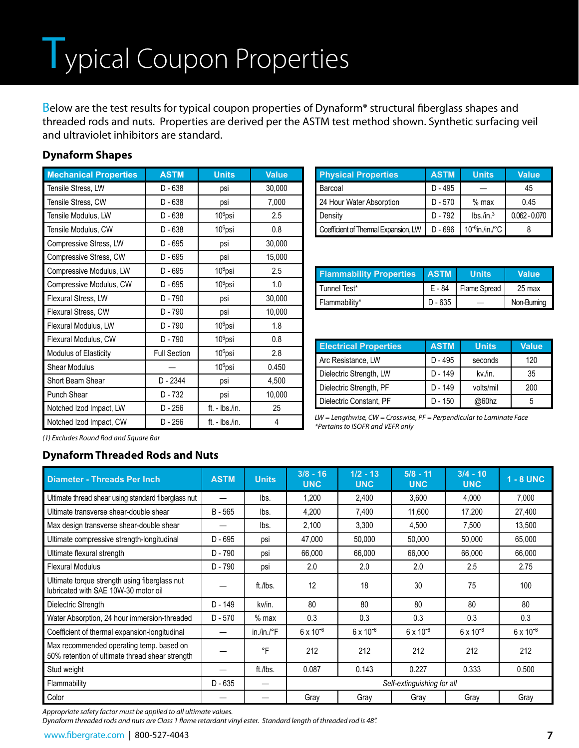Below are the test results for typical coupon properties of Dynaform<sup>®</sup> structural fiberglass shapes and threaded rods and nuts. Properties are derived per the ASTM test method shown. Synthetic surfacing veil and ultraviolet inhibitors are standard.

#### **Dynaform Shapes**

| <b>Mechanical Properties</b> | <b>ASTM</b>         | <b>Units</b>        | Value  |
|------------------------------|---------------------|---------------------|--------|
| Tensile Stress, LW           | D - 638             | psi                 | 30,000 |
| <b>Tensile Stress, CW</b>    | D - 638             | psi                 | 7,000  |
| Tensile Modulus, LW          | $D - 638$           | $106$ psi           | 2.5    |
| Tensile Modulus, CW          | D - 638             | $106$ psi           | 0.8    |
| Compressive Stress, LW       | D - 695             | psi                 | 30,000 |
| Compressive Stress, CW       | D - 695             | psi                 | 15,000 |
| Compressive Modulus, LW      | D - 695             | 10 <sup>6</sup> psi | 2.5    |
| Compressive Modulus, CW      | D - 695             | 10 <sup>6</sup> psi | 1.0    |
| Flexural Stress, LW          | D - 790             | psi                 | 30,000 |
| Flexural Stress, CW          | D - 790             | psi                 | 10,000 |
| Flexural Modulus, LW         | D - 790             | 10 <sup>6</sup> psi | 1.8    |
| Flexural Modulus, CW         | D - 790             | 10 <sup>6</sup> psi | 0.8    |
| Modulus of Elasticity        | <b>Full Section</b> | $106$ psi           | 2.8    |
| Shear Modulus                |                     | $106$ psi           | 0.450  |
| Short Beam Shear             | D - 2344            | psi                 | 4,500  |
| <b>Punch Shear</b>           | D - 732             | psi                 | 10,000 |
| Notched Izod Impact, LW      | D - 256             | $ft. - lbs./in.$    | 25     |
| Notched Izod Impact, CW      | D - 256             | ft. - Ibs./in.      | 4      |

| <b>Physical Properties</b>           | <b>ASTM</b> | <b>Units</b>         | <b>Value</b>    |
|--------------------------------------|-------------|----------------------|-----------------|
| Barcoal                              | $D - 495$   |                      | 45              |
| 24 Hour Water Absorption             | $D - 570$   | $%$ max              | 0.45            |
| Density                              | $D - 792$   | $lbs$ ./in. $3$      | $0.062 - 0.070$ |
| Coefficient of Thermal Expansion, LW | $D - 696$   | $10^{-6}$ in./in./°C |                 |

| <b>Flammability Properties</b> | <b>ASTM</b> | <b>Units</b> | <b>Value</b> |
|--------------------------------|-------------|--------------|--------------|
| Tunnel Test*                   | E - 84      | Flame Spread | 25 max       |
| Flammability*                  | $D - 635$   |              | Non-Bumina   |

| <b>Electrical Properties</b> | <b>ASTM</b> | <b>Units</b> | Value |  |
|------------------------------|-------------|--------------|-------|--|
| Arc Resistance, LW           | $D - 495$   | seconds      | 120   |  |
| Dielectric Strength, LW      | D - 149     | kv./in.      | 35    |  |
| Dielectric Strength, PF      | D - 149     | volts/mil    | 200   |  |
| Dielectric Constant, PF      | D - 150     | @60hz        | 5     |  |

*LW = Lengthwise, CW = Crosswise, PF = Perpendicular to Laminate Face*

*\*Pertains to ISOFR and VEFR only*

*(1) Excludes Round Rod and Square Bar*

#### **Dynaform Threaded Rods and Nuts**

| <b>Diameter - Threads Per Inch</b>                                                          | <b>ASTM</b> | <b>Units</b>         | $3/8 - 16$<br><b>UNC</b>   | $1/2 - 13$<br><b>UNC</b> | $5/8 - 11$<br><b>UNC</b> | $3/4 - 10$<br><b>UNC</b> | $1 - 8$ UNC        |
|---------------------------------------------------------------------------------------------|-------------|----------------------|----------------------------|--------------------------|--------------------------|--------------------------|--------------------|
| Ultimate thread shear using standard fiberglass nut                                         |             | lbs.                 | 1,200                      | 2,400                    | 3,600                    | 4,000                    | 7,000              |
| Ultimate transverse shear-double shear                                                      | $B - 565$   | lbs.                 | 4,200                      | 7,400                    | 11,600                   | 17,200                   | 27,400             |
| Max design transverse shear-double shear                                                    |             | lbs.                 | 2,100                      | 3,300                    | 4,500                    | 7,500                    | 13,500             |
| Ultimate compressive strength-longitudinal                                                  | $D - 695$   | psi                  | 47,000                     | 50,000                   | 50,000                   | 50,000                   | 65,000             |
| Ultimate flexural strength                                                                  | D - 790     | psi                  | 66,000                     | 66,000                   | 66,000                   | 66,000                   | 66,000             |
| <b>Flexural Modulus</b>                                                                     | D - 790     | psi                  | 2.0                        | 2.0                      | 2.0                      | 2.5                      | 2.75               |
| Ultimate torque strength using fiberglass nut<br>lubricated with SAE 10W-30 motor oil       |             | ft./lbs.             | 12                         | 18                       | 30                       | 75                       | 100                |
| Dielectric Strength                                                                         | $D - 149$   | kv/in.               | 80                         | 80                       | 80                       | 80                       | 80                 |
| Water Absorption, 24 hour immersion-threaded                                                | $D - 570$   | $%$ max              | 0.3                        | 0.3                      | 0.3                      | 0.3                      | 0.3                |
| Coefficient of thermal expansion-longitudinal                                               |             | in./in./ $\degree$ F | $6 \times 10^{-6}$         | $6 \times 10^{-6}$       | $6 \times 10^{-6}$       | $6 \times 10^{-6}$       | $6 \times 10^{-6}$ |
| Max recommended operating temp. based on<br>50% retention of ultimate thread shear strength |             | $\circ$ F            | 212                        | 212                      | 212                      | 212                      | 212                |
| Stud weight                                                                                 |             | ft./lbs.             | 0.087                      | 0.143                    | 0.227                    | 0.333                    | 0.500              |
| Flammability                                                                                | $D - 635$   | –                    | Self-extinguishing for all |                          |                          |                          |                    |
| Color                                                                                       |             |                      | Gray                       | Gray                     | Gray                     | Gray                     | Gray               |

*Appropriate safety factor must be applied to all ultimate values.* 

*Dynaform threaded rods and nuts are Class 1 flame retardant vinyl ester. Standard length of threaded rod is 48".*